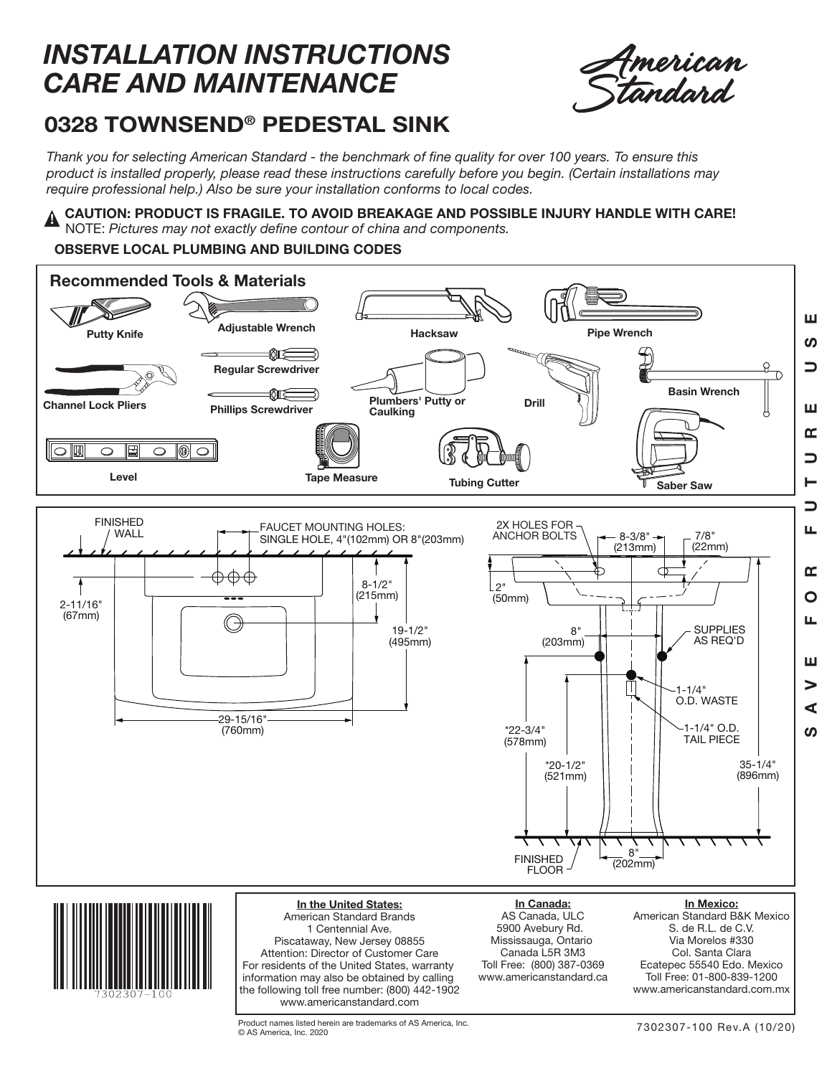## *INSTALLATION INSTRUCTIONS CARE AND MAINTENANCE*



## **0328 TOWNSEND ® PEDESTAL SINK**

*Thank you for selecting American Standard - the benchmark of fine quality for over 100 years. To ensure this product is installed properly, please read these instructions carefully before you begin. (Certain installations may require professional help.) Also be sure your installation conforms to local codes.*

**CAUTION: PRODUCT IS FRAGILE. TO AVOID BREAKAGE AND POSSIBLE INJURY HANDLE WITH CARE!** NOTE: *Pictures may not exactly define contour of china and components.* **!**

## **OBSERVE LOCAL PLUMBING AND BUILDING CODES**



Product names listed herein are trademarks of AS America, Inc. © AS America, Inc. 2020